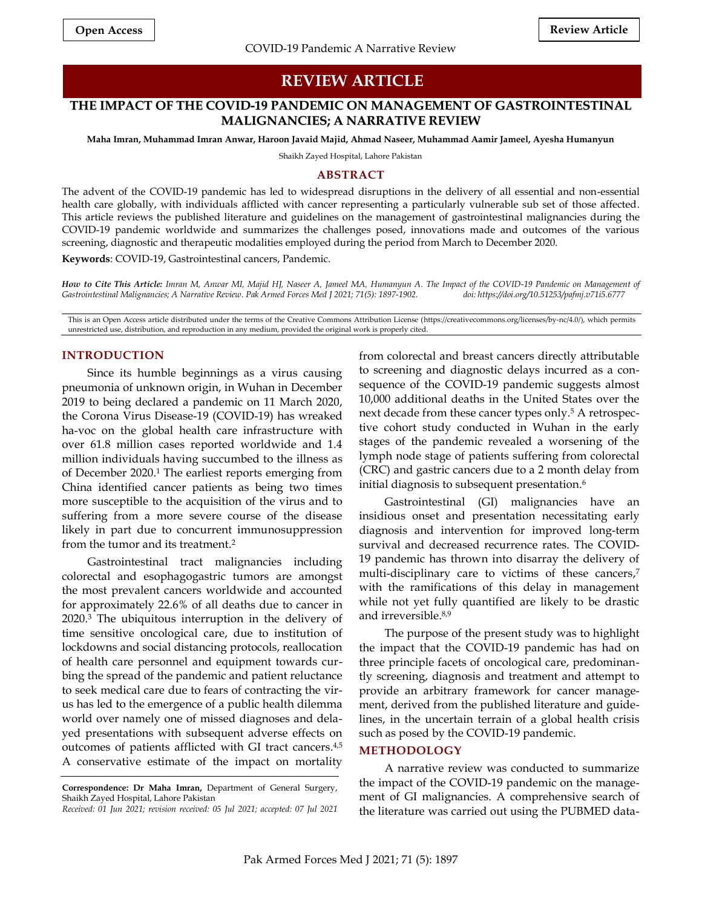# **REVIEW ARTICLE**

# **THE IMPACT OF THE COVID-19 PANDEMIC ON MANAGEMENT OF GASTROINTESTINAL MALIGNANCIES; A NARRATIVE REVIEW**

**Maha Imran, Muhammad Imran Anwar, Haroon Javaid Majid, Ahmad Naseer, Muhammad Aamir Jameel, Ayesha Humanyun**

Shaikh Zayed Hospital, Lahore Pakistan

### **ABSTRACT**

The advent of the COVID-19 pandemic has led to widespread disruptions in the delivery of all essential and non-essential health care globally, with individuals afflicted with cancer representing a particularly vulnerable sub set of those affected. This article reviews the published literature and guidelines on the management of gastrointestinal malignancies during the COVID-19 pandemic worldwide and summarizes the challenges posed, innovations made and outcomes of the various screening, diagnostic and therapeutic modalities employed during the period from March to December 2020.

**Keywords**: COVID-19, Gastrointestinal cancers, Pandemic.

*How to Cite This Article: Imran M, Anwar MI, Majid HJ, Naseer A, Jameel MA, Humanyun A. The Impact of the COVID-19 Pandemic on Management of*  Gastrointestinal Malignancies; A Narrative Review. Pak Armed Forces Med J 2021; 71(5): 1897-1902.

This is an Open Access article distributed under the terms of the Creative Commons Attribution License (https://creativecommons.org/licenses/by-nc/4.0/), which permits unrestricted use, distribution, and reproduction in any medium, provided the original work is properly cited.

## **INTRODUCTION**

Since its humble beginnings as a virus causing pneumonia of unknown origin, in Wuhan in December 2019 to being declared a pandemic on 11 March 2020, the Corona Virus Disease-19 (COVID-19) has wreaked ha-voc on the global health care infrastructure with over 61.8 million cases reported worldwide and 1.4 million individuals having succumbed to the illness as of December 2020. <sup>1</sup> The earliest reports emerging from China identified cancer patients as being two times more susceptible to the acquisition of the virus and to suffering from a more severe course of the disease likely in part due to concurrent immunosuppression from the tumor and its treatment. 2

Gastrointestinal tract malignancies including colorectal and esophagogastric tumors are amongst the most prevalent cancers worldwide and accounted for approximately 22.6% of all deaths due to cancer in 2020. <sup>3</sup> The ubiquitous interruption in the delivery of time sensitive oncological care, due to institution of lockdowns and social distancing protocols, reallocation of health care personnel and equipment towards curbing the spread of the pandemic and patient reluctance to seek medical care due to fears of contracting the virus has led to the emergence of a public health dilemma world over namely one of missed diagnoses and delayed presentations with subsequent adverse effects on outcomes of patients afflicted with GI tract cancers.<sup>4,5</sup> A conservative estimate of the impact on mortality

from colorectal and breast cancers directly attributable to screening and diagnostic delays incurred as a consequence of the COVID-19 pandemic suggests almost 10,000 additional deaths in the United States over the next decade from these cancer types only. <sup>5</sup> A retrospective cohort study conducted in Wuhan in the early stages of the pandemic revealed a worsening of the lymph node stage of patients suffering from colorectal (CRC) and gastric cancers due to a 2 month delay from initial diagnosis to subsequent presentation. 6

Gastrointestinal (GI) malignancies have an insidious onset and presentation necessitating early diagnosis and intervention for improved long-term survival and decreased recurrence rates. The COVID-19 pandemic has thrown into disarray the delivery of multi-disciplinary care to victims of these cancers, 7 with the ramifications of this delay in management while not yet fully quantified are likely to be drastic and irreversible. 8,9

The purpose of the present study was to highlight the impact that the COVID-19 pandemic has had on three principle facets of oncological care, predominantly screening, diagnosis and treatment and attempt to provide an arbitrary framework for cancer management, derived from the published literature and guidelines, in the uncertain terrain of a global health crisis such as posed by the COVID-19 pandemic.

# **METHODOLOGY**

A narrative review was conducted to summarize the impact of the COVID-19 pandemic on the management of GI malignancies. A comprehensive search of the literature was carried out using the PUBMED data-

**Correspondence: Dr Maha Imran,** Department of General Surgery, Shaikh Zayed Hospital, Lahore Pakistan *Received: 01 Jun 2021; revision received: 05 Jul 2021; accepted: 07 Jul 2021*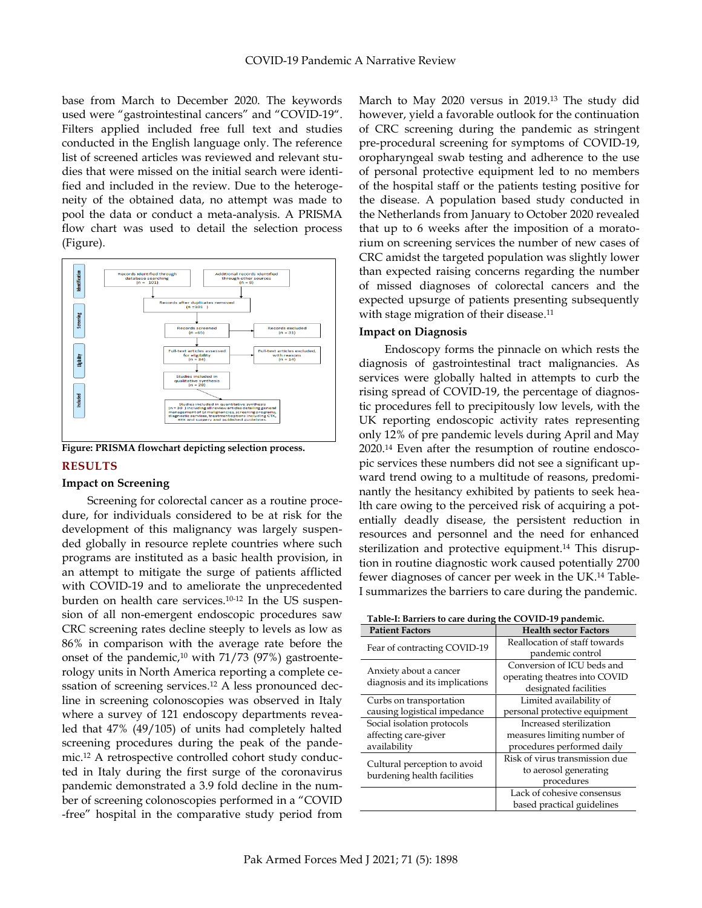base from March to December 2020. The keywords used were "gastrointestinal cancers" and "COVID-19". Filters applied included free full text and studies conducted in the English language only. The reference list of screened articles was reviewed and relevant studies that were missed on the initial search were identified and included in the review. Due to the heterogeneity of the obtained data, no attempt was made to pool the data or conduct a meta-analysis. A PRISMA flow chart was used to detail the selection process (Figure).



**Figure: PRISMA flowchart depicting selection process.**

# **RESULTS**

## **Impact on Screening**

Screening for colorectal cancer as a routine procedure, for individuals considered to be at risk for the development of this malignancy was largely suspended globally in resource replete countries where such programs are instituted as a basic health provision, in an attempt to mitigate the surge of patients afflicted with COVID-19 and to ameliorate the unprecedented burden on health care services. 10-12 In the US suspension of all non-emergent endoscopic procedures saw CRC screening rates decline steeply to levels as low as 86% in comparison with the average rate before the onset of the pandemic, <sup>10</sup> with 71/73 (97%) gastroenterology units in North America reporting a complete cessation of screening services. <sup>12</sup> A less pronounced decline in screening colonoscopies was observed in Italy where a survey of 121 endoscopy departments revealed that 47% (49/105) of units had completely halted screening procedures during the peak of the pandemic. <sup>12</sup> A retrospective controlled cohort study conducted in Italy during the first surge of the coronavirus pandemic demonstrated a 3.9 fold decline in the number of screening colonoscopies performed in a "COVID -free" hospital in the comparative study period from

March to May 2020 versus in 2019. <sup>13</sup> The study did however, yield a favorable outlook for the continuation of CRC screening during the pandemic as stringent pre-procedural screening for symptoms of COVID-19, oropharyngeal swab testing and adherence to the use of personal protective equipment led to no members of the hospital staff or the patients testing positive for the disease. A population based study conducted in the Netherlands from January to October 2020 revealed that up to 6 weeks after the imposition of a moratorium on screening services the number of new cases of CRC amidst the targeted population was slightly lower than expected raising concerns regarding the number of missed diagnoses of colorectal cancers and the expected upsurge of patients presenting subsequently with stage migration of their disease.<sup>11</sup>

## **Impact on Diagnosis**

Endoscopy forms the pinnacle on which rests the diagnosis of gastrointestinal tract malignancies. As services were globally halted in attempts to curb the rising spread of COVID-19, the percentage of diagnostic procedures fell to precipitously low levels, with the UK reporting endoscopic activity rates representing only 12% of pre pandemic levels during April and May 2020. <sup>14</sup> Even after the resumption of routine endoscopic services these numbers did not see a significant upward trend owing to a multitude of reasons, predominantly the hesitancy exhibited by patients to seek health care owing to the perceived risk of acquiring a potentially deadly disease, the persistent reduction in resources and personnel and the need for enhanced sterilization and protective equipment. <sup>14</sup> This disruption in routine diagnostic work caused potentially 2700 fewer diagnoses of cancer per week in the UK. <sup>14</sup> Table-I summarizes the barriers to care during the pandemic.

| Table-I: Barriers to care during the COVID-19 pandemic. |  |  |
|---------------------------------------------------------|--|--|
|---------------------------------------------------------|--|--|

| <b>Patient Factors</b>                                      | <b>Health sector Factors</b>   |  |
|-------------------------------------------------------------|--------------------------------|--|
| Fear of contracting COVID-19                                | Reallocation of staff towards  |  |
|                                                             | pandemic control               |  |
| Anxiety about a cancer<br>diagnosis and its implications    | Conversion of ICU beds and     |  |
|                                                             | operating theatres into COVID  |  |
|                                                             | designated facilities          |  |
| Curbs on transportation                                     | Limited availability of        |  |
| causing logistical impedance                                | personal protective equipment  |  |
| Social isolation protocols                                  | Increased sterilization        |  |
| affecting care-giver                                        | measures limiting number of    |  |
| availability                                                | procedures performed daily     |  |
| Cultural perception to avoid<br>burdening health facilities | Risk of virus transmission due |  |
|                                                             | to aerosol generating          |  |
|                                                             | procedures                     |  |
|                                                             | Lack of cohesive consensus     |  |
|                                                             | based practical guidelines     |  |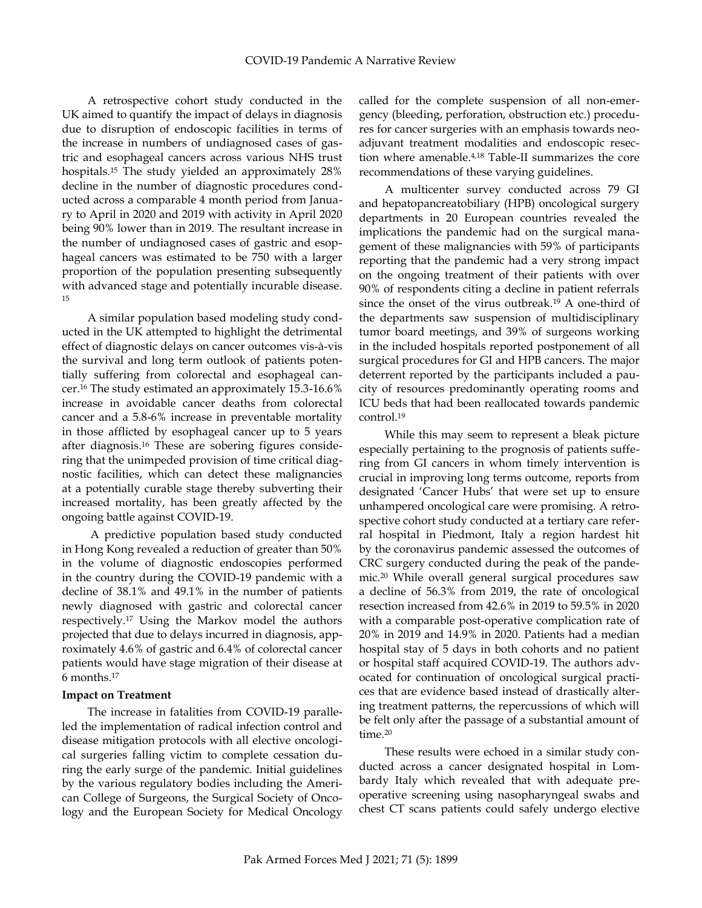A retrospective cohort study conducted in the UK aimed to quantify the impact of delays in diagnosis due to disruption of endoscopic facilities in terms of the increase in numbers of undiagnosed cases of gastric and esophageal cancers across various NHS trust hospitals. <sup>15</sup> The study yielded an approximately 28% decline in the number of diagnostic procedures conducted across a comparable 4 month period from January to April in 2020 and 2019 with activity in April 2020 being 90% lower than in 2019. The resultant increase in the number of undiagnosed cases of gastric and esophageal cancers was estimated to be 750 with a larger proportion of the population presenting subsequently with advanced stage and potentially incurable disease. 15

A similar population based modeling study conducted in the UK attempted to highlight the detrimental effect of diagnostic delays on cancer outcomes vis-à-vis the survival and long term outlook of patients potentially suffering from colorectal and esophageal cancer. <sup>16</sup> The study estimated an approximately 15.3-16.6% increase in avoidable cancer deaths from colorectal cancer and a 5.8-6% increase in preventable mortality in those afflicted by esophageal cancer up to 5 years after diagnosis. <sup>16</sup> These are sobering figures considering that the unimpeded provision of time critical diagnostic facilities, which can detect these malignancies at a potentially curable stage thereby subverting their increased mortality, has been greatly affected by the ongoing battle against COVID-19.

A predictive population based study conducted in Hong Kong revealed a reduction of greater than 50% in the volume of diagnostic endoscopies performed in the country during the COVID-19 pandemic with a decline of 38.1% and 49.1% in the number of patients newly diagnosed with gastric and colorectal cancer respectively. <sup>17</sup> Using the Markov model the authors projected that due to delays incurred in diagnosis, approximately 4.6% of gastric and 6.4% of colorectal cancer patients would have stage migration of their disease at 6 months. 17

## **Impact on Treatment**

The increase in fatalities from COVID-19 paralleled the implementation of radical infection control and disease mitigation protocols with all elective oncological surgeries falling victim to complete cessation during the early surge of the pandemic. Initial guidelines by the various regulatory bodies including the American College of Surgeons, the Surgical Society of Oncology and the European Society for Medical Oncology called for the complete suspension of all non-emergency (bleeding, perforation, obstruction etc.) procedures for cancer surgeries with an emphasis towards neoadjuvant treatment modalities and endoscopic resection where amenable. 4,18 Table-II summarizes the core recommendations of these varying guidelines.

A multicenter survey conducted across 79 GI and hepatopancreatobiliary (HPB) oncological surgery departments in 20 European countries revealed the implications the pandemic had on the surgical management of these malignancies with 59% of participants reporting that the pandemic had a very strong impact on the ongoing treatment of their patients with over 90% of respondents citing a decline in patient referrals since the onset of the virus outbreak. <sup>19</sup> A one-third of the departments saw suspension of multidisciplinary tumor board meetings, and 39% of surgeons working in the included hospitals reported postponement of all surgical procedures for GI and HPB cancers. The major deterrent reported by the participants included a paucity of resources predominantly operating rooms and ICU beds that had been reallocated towards pandemic control. 19

While this may seem to represent a bleak picture especially pertaining to the prognosis of patients suffering from GI cancers in whom timely intervention is crucial in improving long terms outcome, reports from designated 'Cancer Hubs' that were set up to ensure unhampered oncological care were promising. A retrospective cohort study conducted at a tertiary care referral hospital in Piedmont, Italy a region hardest hit by the coronavirus pandemic assessed the outcomes of CRC surgery conducted during the peak of the pandemic. <sup>20</sup> While overall general surgical procedures saw a decline of 56.3% from 2019, the rate of oncological resection increased from 42.6% in 2019 to 59.5% in 2020 with a comparable post-operative complication rate of 20% in 2019 and 14.9% in 2020. Patients had a median hospital stay of 5 days in both cohorts and no patient or hospital staff acquired COVID-19. The authors advocated for continuation of oncological surgical practices that are evidence based instead of drastically altering treatment patterns, the repercussions of which will be felt only after the passage of a substantial amount of time. 20

These results were echoed in a similar study conducted across a cancer designated hospital in Lombardy Italy which revealed that with adequate preoperative screening using nasopharyngeal swabs and chest CT scans patients could safely undergo elective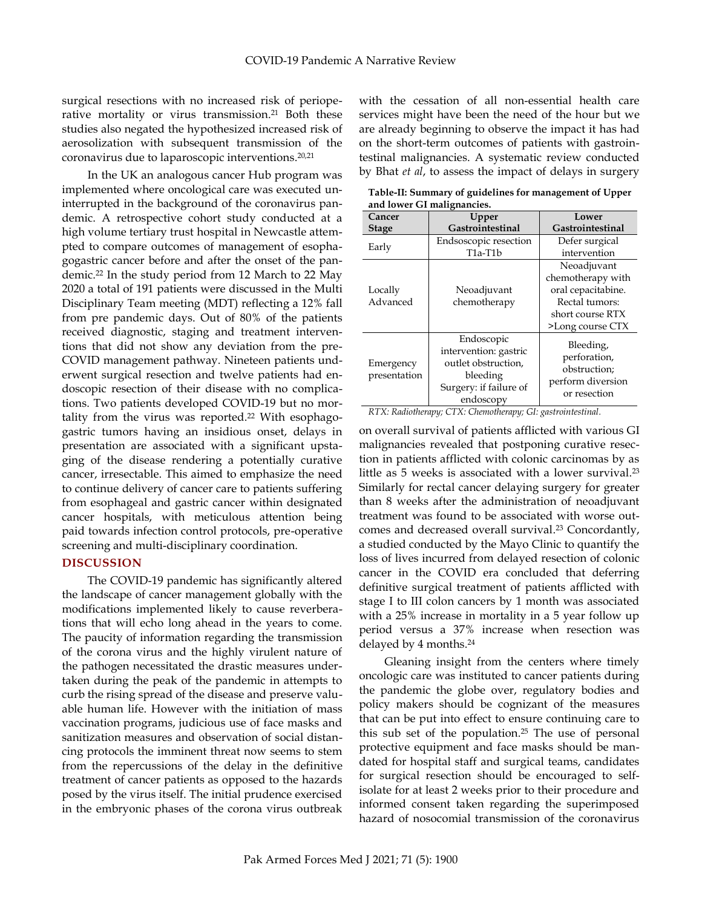surgical resections with no increased risk of perioperative mortality or virus transmission. <sup>21</sup> Both these studies also negated the hypothesized increased risk of aerosolization with subsequent transmission of the coronavirus due to laparoscopic interventions. 20,21

In the UK an analogous cancer Hub program was implemented where oncological care was executed uninterrupted in the background of the coronavirus pandemic. A retrospective cohort study conducted at a high volume tertiary trust hospital in Newcastle attempted to compare outcomes of management of esophagogastric cancer before and after the onset of the pandemic. <sup>22</sup> In the study period from 12 March to 22 May 2020 a total of 191 patients were discussed in the Multi Disciplinary Team meeting (MDT) reflecting a 12% fall from pre pandemic days. Out of 80% of the patients received diagnostic, staging and treatment interventions that did not show any deviation from the pre-COVID management pathway. Nineteen patients underwent surgical resection and twelve patients had endoscopic resection of their disease with no complications. Two patients developed COVID-19 but no mortality from the virus was reported. <sup>22</sup> With esophagogastric tumors having an insidious onset, delays in presentation are associated with a significant upstaging of the disease rendering a potentially curative cancer, irresectable. This aimed to emphasize the need to continue delivery of cancer care to patients suffering from esophageal and gastric cancer within designated cancer hospitals, with meticulous attention being paid towards infection control protocols, pre-operative screening and multi-disciplinary coordination.

#### **DISCUSSION**

The COVID-19 pandemic has significantly altered the landscape of cancer management globally with the modifications implemented likely to cause reverberations that will echo long ahead in the years to come. The paucity of information regarding the transmission of the corona virus and the highly virulent nature of the pathogen necessitated the drastic measures undertaken during the peak of the pandemic in attempts to curb the rising spread of the disease and preserve valuable human life. However with the initiation of mass vaccination programs, judicious use of face masks and sanitization measures and observation of social distancing protocols the imminent threat now seems to stem from the repercussions of the delay in the definitive treatment of cancer patients as opposed to the hazards posed by the virus itself. The initial prudence exercised in the embryonic phases of the corona virus outbreak with the cessation of all non-essential health care services might have been the need of the hour but we are already beginning to observe the impact it has had on the short-term outcomes of patients with gastrointestinal malignancies. A systematic review conducted by Bhat *et al*, to assess the impact of delays in surgery

| and lower G1 manghancies. |                                                                                                               |                                                                                                                  |  |
|---------------------------|---------------------------------------------------------------------------------------------------------------|------------------------------------------------------------------------------------------------------------------|--|
| Cancer                    | Upper                                                                                                         | Lower                                                                                                            |  |
| <b>Stage</b>              | Gastrointestinal                                                                                              | Gastrointestinal                                                                                                 |  |
| Early                     | Endsoscopic resection<br>T1a-T1b                                                                              | Defer surgical<br>intervention                                                                                   |  |
| Locally<br>Advanced       | Neoadjuvant<br>chemotherapy                                                                                   | Neoadjuvant<br>chemotherapy with<br>oral cepacitabine.<br>Rectal tumors:<br>short course RTX<br>>Long course CTX |  |
| Emergency<br>presentation | Endoscopic<br>intervention: gastric<br>outlet obstruction,<br>bleeding<br>Surgery: if failure of<br>endoscopy | Bleeding,<br>perforation,<br>obstruction;<br>perform diversion<br>or resection                                   |  |

**Table-II: Summary of guidelines for management of Upper and lower GI malignancies.**

*RTX: Radiotherapy; CTX: Chemotherapy; GI: gastrointestinal.*

on overall survival of patients afflicted with various GI malignancies revealed that postponing curative resection in patients afflicted with colonic carcinomas by as little as 5 weeks is associated with a lower survival. 23 Similarly for rectal cancer delaying surgery for greater than 8 weeks after the administration of neoadjuvant treatment was found to be associated with worse outcomes and decreased overall survival. <sup>23</sup> Concordantly, a studied conducted by the Mayo Clinic to quantify the loss of lives incurred from delayed resection of colonic cancer in the COVID era concluded that deferring definitive surgical treatment of patients afflicted with stage I to III colon cancers by 1 month was associated with a 25% increase in mortality in a 5 year follow up period versus a 37% increase when resection was delayed by 4 months. 24

Gleaning insight from the centers where timely oncologic care was instituted to cancer patients during the pandemic the globe over, regulatory bodies and policy makers should be cognizant of the measures that can be put into effect to ensure continuing care to this sub set of the population. <sup>25</sup> The use of personal protective equipment and face masks should be mandated for hospital staff and surgical teams, candidates for surgical resection should be encouraged to selfisolate for at least 2 weeks prior to their procedure and informed consent taken regarding the superimposed hazard of nosocomial transmission of the coronavirus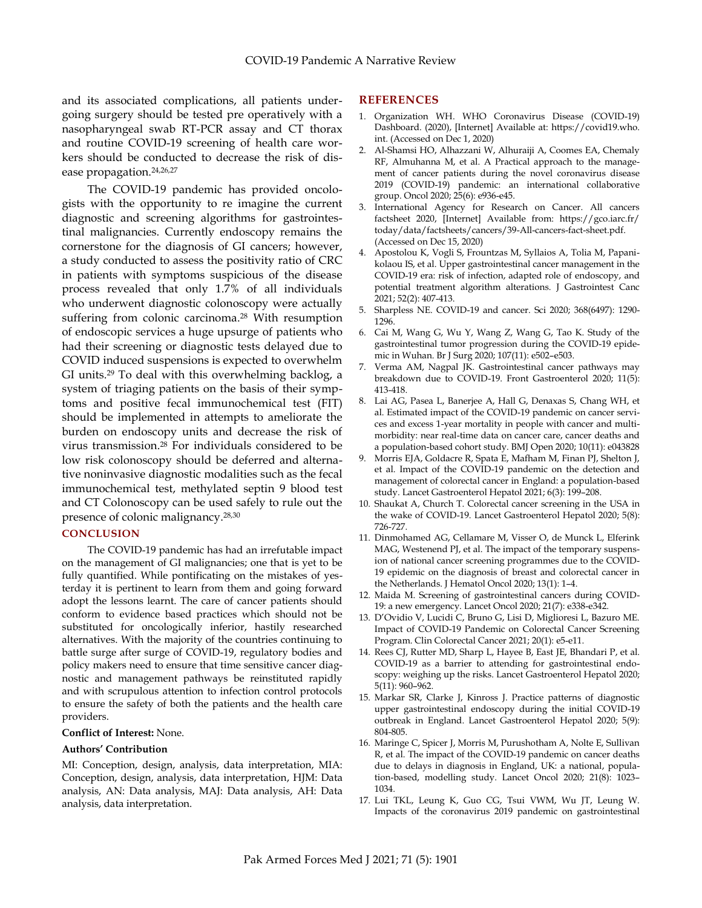and its associated complications, all patients undergoing surgery should be tested pre operatively with a nasopharyngeal swab RT-PCR assay and CT thorax and routine COVID-19 screening of health care workers should be conducted to decrease the risk of disease propagation. 24,26,27

The COVID-19 pandemic has provided oncologists with the opportunity to re imagine the current diagnostic and screening algorithms for gastrointestinal malignancies. Currently endoscopy remains the cornerstone for the diagnosis of GI cancers; however, a study conducted to assess the positivity ratio of CRC in patients with symptoms suspicious of the disease process revealed that only 1.7% of all individuals who underwent diagnostic colonoscopy were actually suffering from colonic carcinoma. <sup>28</sup> With resumption of endoscopic services a huge upsurge of patients who had their screening or diagnostic tests delayed due to COVID induced suspensions is expected to overwhelm GI units. <sup>29</sup> To deal with this overwhelming backlog, a system of triaging patients on the basis of their symptoms and positive fecal immunochemical test (FIT) should be implemented in attempts to ameliorate the burden on endoscopy units and decrease the risk of virus transmission. <sup>28</sup> For individuals considered to be low risk colonoscopy should be deferred and alternative noninvasive diagnostic modalities such as the fecal immunochemical test, methylated septin 9 blood test and CT Colonoscopy can be used safely to rule out the presence of colonic malignancy. 28,30

#### **CONCLUSION**

The COVID-19 pandemic has had an irrefutable impact on the management of GI malignancies; one that is yet to be fully quantified. While pontificating on the mistakes of yesterday it is pertinent to learn from them and going forward adopt the lessons learnt. The care of cancer patients should conform to evidence based practices which should not be substituted for oncologically inferior, hastily researched alternatives. With the majority of the countries continuing to battle surge after surge of COVID-19, regulatory bodies and policy makers need to ensure that time sensitive cancer diagnostic and management pathways be reinstituted rapidly and with scrupulous attention to infection control protocols to ensure the safety of both the patients and the health care providers.

## **Conflict of Interest:** None.

## **Authors' Contribution**

MI: Conception, design, analysis, data interpretation, MIA: Conception, design, analysis, data interpretation, HJM: Data analysis, AN: Data analysis, MAJ: Data analysis, AH: Data analysis, data interpretation.

#### **REFERENCES**

- 1. Organization WH. WHO Coronavirus Disease (COVID-19) Dashboard. (2020), [Internet] Available at: https://covid19.who. int. (Accessed on Dec 1, 2020)
- 2. Al-Shamsi HO, Alhazzani W, Alhuraiji A, Coomes EA, Chemaly RF, Almuhanna M, et al. A Practical approach to the management of cancer patients during the novel coronavirus disease 2019 (COVID-19) pandemic: an international collaborative group. Oncol 2020; 25(6): e936-e45.
- 3. International Agency for Research on Cancer. All cancers factsheet 2020, [Internet] Available from: https://gco.iarc.fr/ today/data/factsheets/cancers/39-All-cancers-fact-sheet.pdf. (Accessed on Dec 15, 2020)
- 4. Apostolou K, Vogli S, Frountzas M, Syllaios A, Tolia M, Papanikolaou IS, et al. Upper gastrointestinal cancer management in the COVID-19 era: risk of infection, adapted role of endoscopy, and potential treatment algorithm alterations. J Gastrointest Canc 2021; 52(2): 407-413.
- 5. Sharpless NE. COVID-19 and cancer. Sci 2020; 368(6497): 1290- 1296.
- 6. Cai M, Wang G, Wu Y, Wang Z, Wang G, Tao K. Study of the gastrointestinal tumor progression during the COVID-19 epidemic in Wuhan. Br J Surg 2020; 107(11): e502–e503.
- 7. Verma AM, Nagpal JK. Gastrointestinal cancer pathways may breakdown due to COVID-19. Front Gastroenterol 2020; 11(5): 413-418.
- 8. Lai AG, Pasea L, Banerjee A, Hall G, Denaxas S, Chang WH, et al. Estimated impact of the COVID-19 pandemic on cancer services and excess 1-year mortality in people with cancer and multimorbidity: near real-time data on cancer care, cancer deaths and a population-based cohort study. BMJ Open 2020; 10(11): e043828
- 9. Morris EJA, Goldacre R, Spata E, Mafham M, Finan PJ, Shelton J, et al. Impact of the COVID-19 pandemic on the detection and management of colorectal cancer in England: a population-based study. Lancet Gastroenterol Hepatol 2021; 6(3): 199–208.
- 10. Shaukat A, Church T. Colorectal cancer screening in the USA in the wake of COVID-19. Lancet Gastroenterol Hepatol 2020; 5(8): 726-727.
- 11. Dinmohamed AG, Cellamare M, Visser O, de Munck L, Elferink MAG, Westenend PJ, et al. The impact of the temporary suspension of national cancer screening programmes due to the COVID-19 epidemic on the diagnosis of breast and colorectal cancer in the Netherlands. J Hematol Oncol 2020; 13(1): 1–4.
- 12. Maida M. Screening of gastrointestinal cancers during COVID-19: a new emergency. Lancet Oncol 2020; 21(7): e338-e342.
- 13. D'Ovidio V, Lucidi C, Bruno G, Lisi D, Miglioresi L, Bazuro ME. Impact of COVID-19 Pandemic on Colorectal Cancer Screening Program. Clin Colorectal Cancer 2021; 20(1): e5-e11.
- 14. Rees CJ, Rutter MD, Sharp L, Hayee B, East JE, Bhandari P, et al. COVID-19 as a barrier to attending for gastrointestinal endoscopy: weighing up the risks. Lancet Gastroenterol Hepatol 2020; 5(11): 960–962.
- 15. Markar SR, Clarke J, Kinross J. Practice patterns of diagnostic upper gastrointestinal endoscopy during the initial COVID-19 outbreak in England. Lancet Gastroenterol Hepatol 2020; 5(9): 804-805.
- 16. Maringe C, Spicer J, Morris M, Purushotham A, Nolte E, Sullivan R, et al. The impact of the COVID-19 pandemic on cancer deaths due to delays in diagnosis in England, UK: a national, population-based, modelling study. Lancet Oncol 2020; 21(8): 1023– 1034.
- 17. Lui TKL, Leung K, Guo CG, Tsui VWM, Wu JT, Leung W. Impacts of the coronavirus 2019 pandemic on gastrointestinal